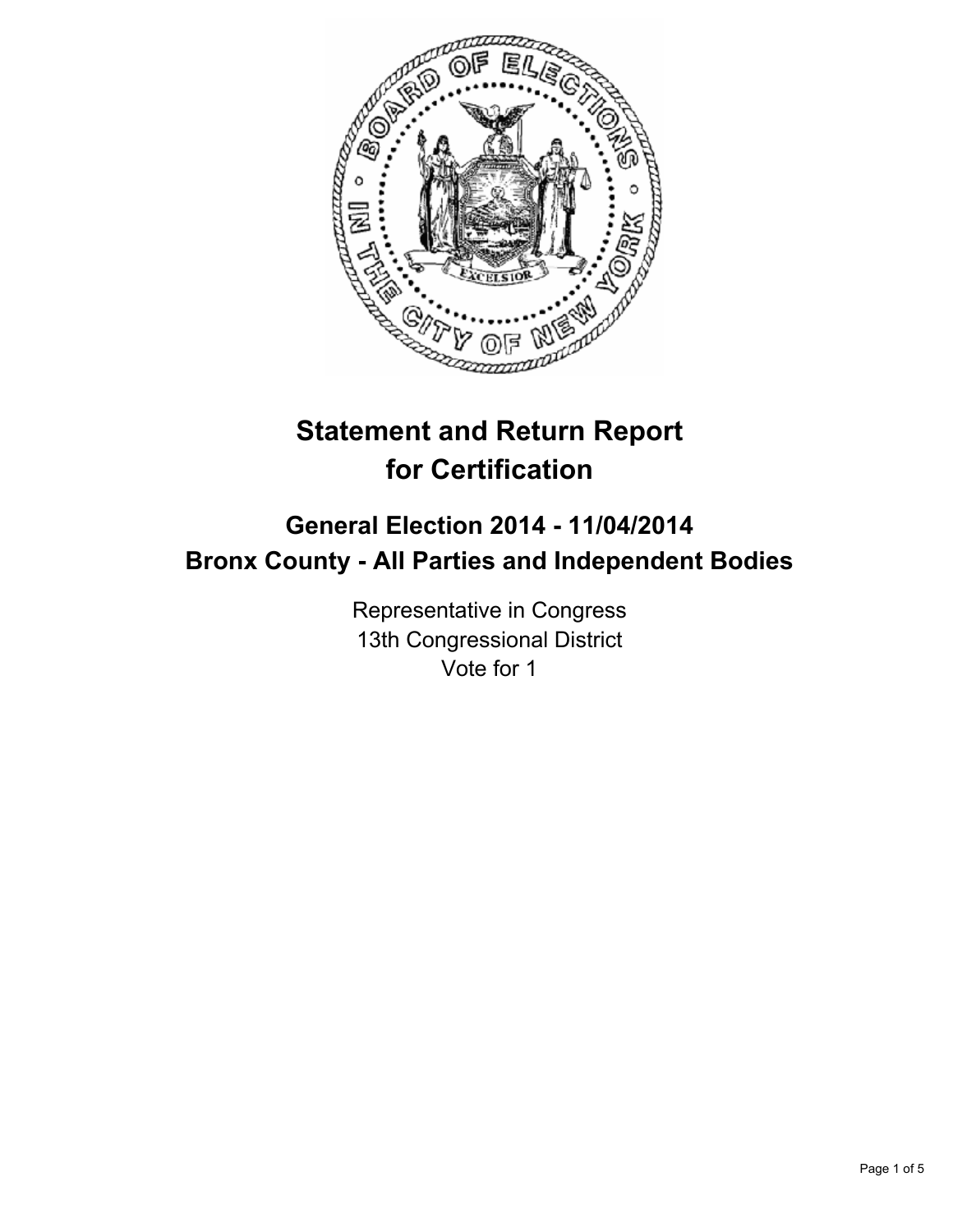

# **Statement and Return Report for Certification**

## **General Election 2014 - 11/04/2014 Bronx County - All Parties and Independent Bodies**

Representative in Congress 13th Congressional District Vote for 1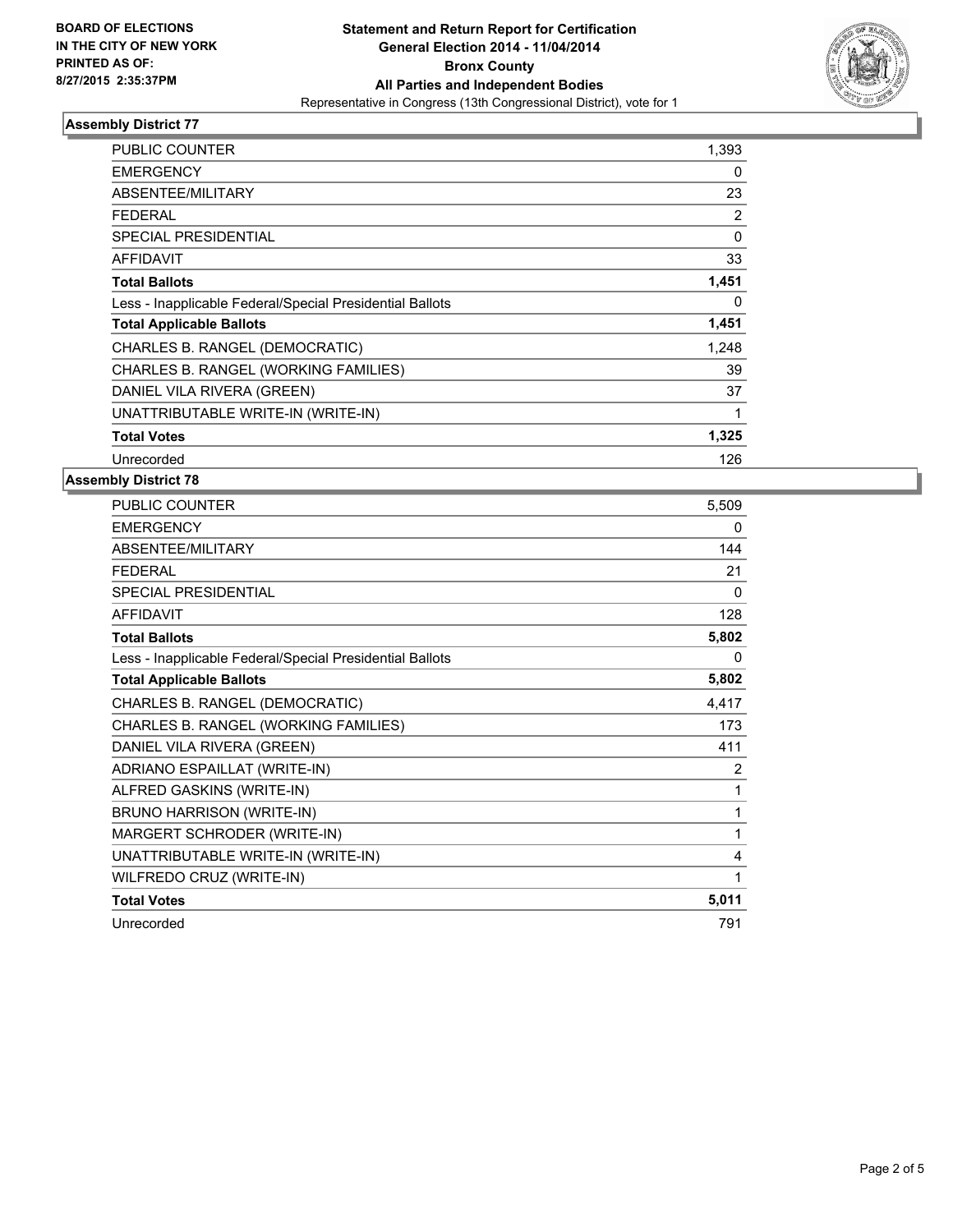

#### **Assembly District 77**

| <b>PUBLIC COUNTER</b>                                    | 1,393 |
|----------------------------------------------------------|-------|
| <b>EMERGENCY</b>                                         | 0     |
| <b>ABSENTEE/MILITARY</b>                                 | 23    |
| <b>FEDERAL</b>                                           | 2     |
| <b>SPECIAL PRESIDENTIAL</b>                              | 0     |
| <b>AFFIDAVIT</b>                                         | 33    |
| <b>Total Ballots</b>                                     | 1,451 |
| Less - Inapplicable Federal/Special Presidential Ballots | 0     |
| <b>Total Applicable Ballots</b>                          | 1,451 |
| CHARLES B. RANGEL (DEMOCRATIC)                           | 1,248 |
| CHARLES B. RANGEL (WORKING FAMILIES)                     | 39    |
| DANIEL VILA RIVERA (GREEN)                               | 37    |
| UNATTRIBUTABLE WRITE-IN (WRITE-IN)                       | 1     |
| <b>Total Votes</b>                                       | 1,325 |
| Unrecorded                                               | 126   |

### **Assembly District 78**

| PUBLIC COUNTER                                           | 5,509    |
|----------------------------------------------------------|----------|
| <b>EMERGENCY</b>                                         | 0        |
| ABSENTEE/MILITARY                                        | 144      |
| <b>FEDERAL</b>                                           | 21       |
| <b>SPECIAL PRESIDENTIAL</b>                              | $\Omega$ |
| <b>AFFIDAVIT</b>                                         | 128      |
| <b>Total Ballots</b>                                     | 5,802    |
| Less - Inapplicable Federal/Special Presidential Ballots | $\Omega$ |
| <b>Total Applicable Ballots</b>                          | 5,802    |
| CHARLES B. RANGEL (DEMOCRATIC)                           | 4,417    |
| CHARLES B. RANGEL (WORKING FAMILIES)                     | 173      |
| DANIEL VILA RIVERA (GREEN)                               | 411      |
| ADRIANO ESPAILLAT (WRITE-IN)                             | 2        |
| ALFRED GASKINS (WRITE-IN)                                | 1        |
| BRUNO HARRISON (WRITE-IN)                                | 1        |
| MARGERT SCHRODER (WRITE-IN)                              | 1        |
| UNATTRIBUTABLE WRITE-IN (WRITE-IN)                       | 4        |
| WILFREDO CRUZ (WRITE-IN)                                 | 1        |
| <b>Total Votes</b>                                       | 5,011    |
| Unrecorded                                               | 791      |
|                                                          |          |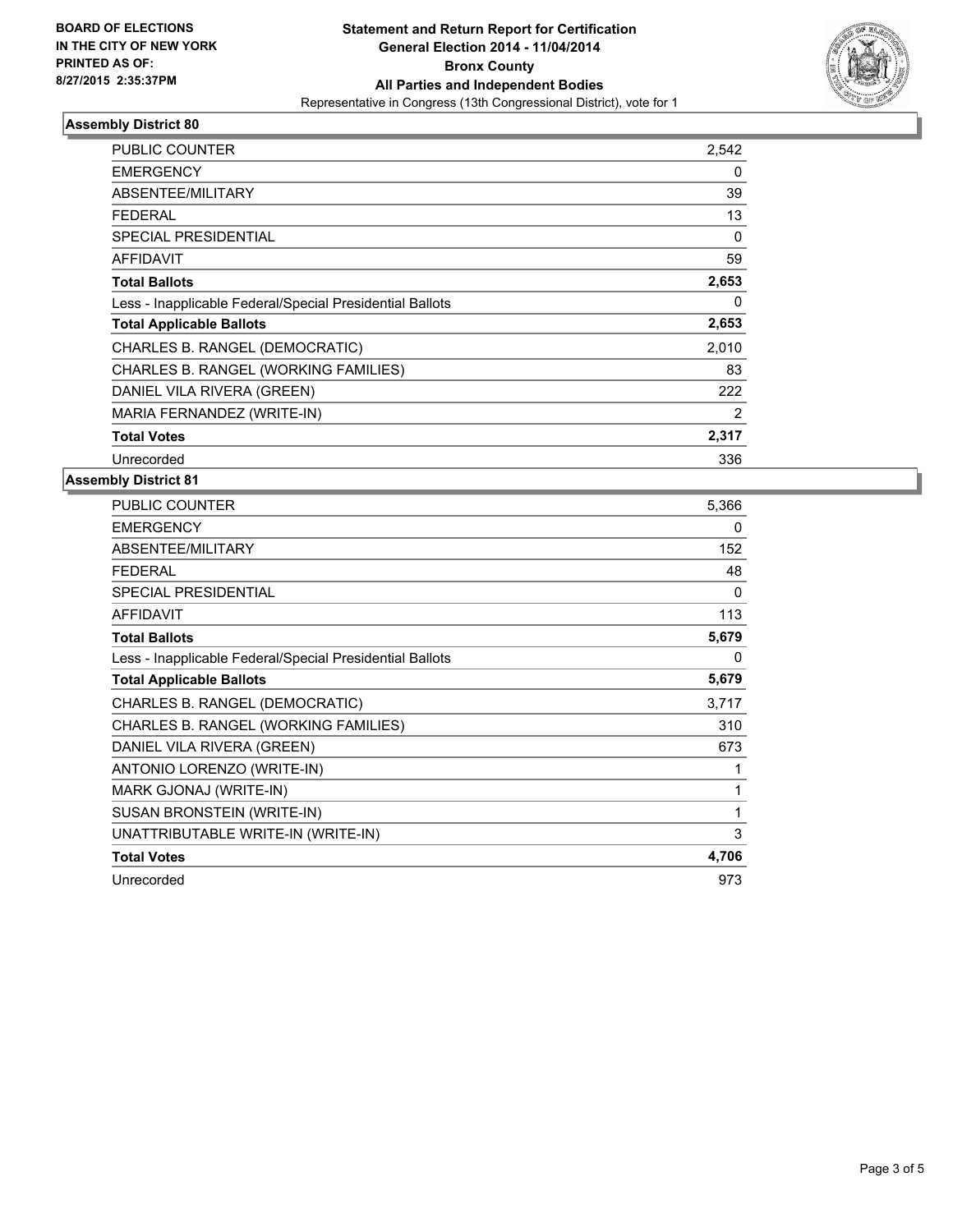

#### **Assembly District 80**

| PUBLIC COUNTER                                           | 2,542 |
|----------------------------------------------------------|-------|
| <b>EMERGENCY</b>                                         | 0     |
| <b>ABSENTEE/MILITARY</b>                                 | 39    |
| FEDERAL                                                  | 13    |
| <b>SPECIAL PRESIDENTIAL</b>                              | 0     |
| <b>AFFIDAVIT</b>                                         | 59    |
| <b>Total Ballots</b>                                     | 2,653 |
| Less - Inapplicable Federal/Special Presidential Ballots | 0     |
| <b>Total Applicable Ballots</b>                          | 2,653 |
| CHARLES B. RANGEL (DEMOCRATIC)                           | 2,010 |
| CHARLES B. RANGEL (WORKING FAMILIES)                     | 83    |
| DANIEL VILA RIVERA (GREEN)                               | 222   |
| MARIA FERNANDEZ (WRITE-IN)                               | 2     |
| <b>Total Votes</b>                                       | 2,317 |
| Unrecorded                                               | 336   |

#### **Assembly District 81**

| PUBLIC COUNTER                                           | 5,366 |
|----------------------------------------------------------|-------|
| <b>EMERGENCY</b>                                         | 0     |
| <b>ABSENTEE/MILITARY</b>                                 | 152   |
| <b>FEDERAL</b>                                           | 48    |
| SPECIAL PRESIDENTIAL                                     | 0     |
| <b>AFFIDAVIT</b>                                         | 113   |
| <b>Total Ballots</b>                                     | 5,679 |
| Less - Inapplicable Federal/Special Presidential Ballots | 0     |
| <b>Total Applicable Ballots</b>                          | 5,679 |
| CHARLES B. RANGEL (DEMOCRATIC)                           | 3,717 |
| CHARLES B. RANGEL (WORKING FAMILIES)                     | 310   |
| DANIEL VILA RIVERA (GREEN)                               | 673   |
| ANTONIO LORENZO (WRITE-IN)                               | 1     |
| MARK GJONAJ (WRITE-IN)                                   | 1     |
| SUSAN BRONSTEIN (WRITE-IN)                               | 1     |
| UNATTRIBUTABLE WRITE-IN (WRITE-IN)                       | 3     |
| <b>Total Votes</b>                                       | 4,706 |
| Unrecorded                                               | 973   |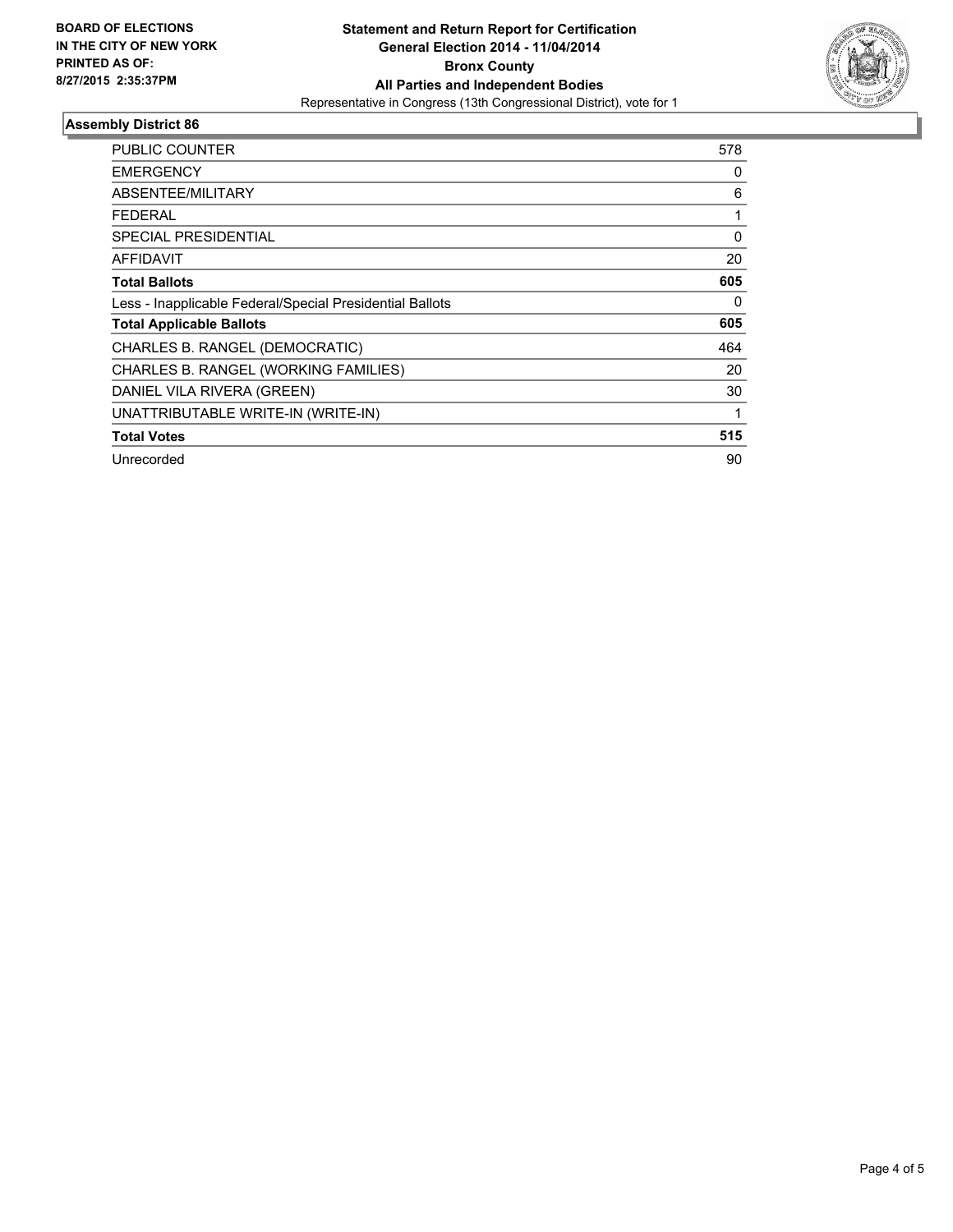

#### **Assembly District 86**

| <b>PUBLIC COUNTER</b>                                    | 578      |
|----------------------------------------------------------|----------|
| <b>EMERGENCY</b>                                         | 0        |
| <b>ABSENTEE/MILITARY</b>                                 | 6        |
| FEDERAL                                                  |          |
| <b>SPECIAL PRESIDENTIAL</b>                              | $\Omega$ |
| <b>AFFIDAVIT</b>                                         | 20       |
| <b>Total Ballots</b>                                     | 605      |
| Less - Inapplicable Federal/Special Presidential Ballots | 0        |
| <b>Total Applicable Ballots</b>                          | 605      |
| CHARLES B. RANGEL (DEMOCRATIC)                           | 464      |
| CHARLES B. RANGEL (WORKING FAMILIES)                     | 20       |
| DANIEL VILA RIVERA (GREEN)                               | 30       |
| UNATTRIBUTABLE WRITE-IN (WRITE-IN)                       | 1        |
| <b>Total Votes</b>                                       | 515      |
| Unrecorded                                               | 90       |